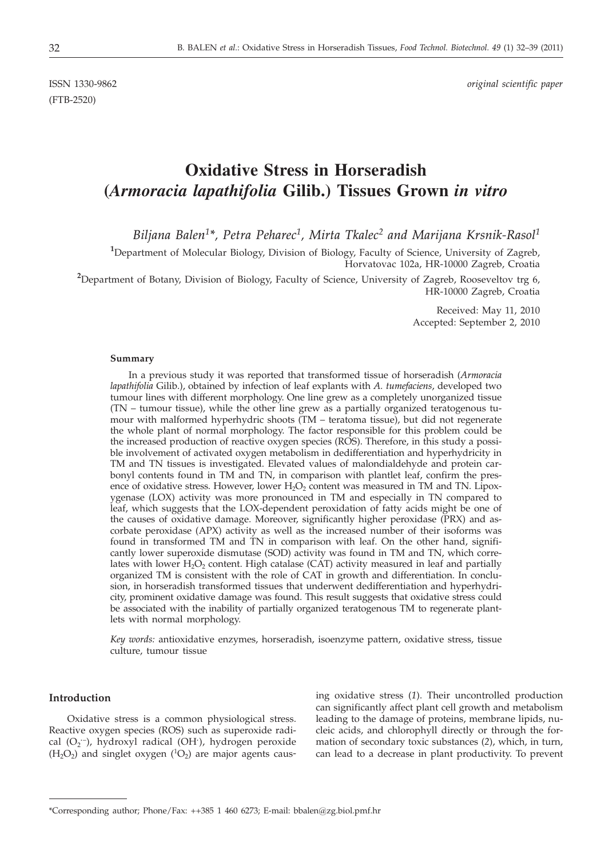(FTB-2520)

ISSN 1330-9862 *original scientific paper*

# **Oxidative Stress in Horseradish (***Armoracia lapathifolia* **Gilib.) Tissues Grown** *in vitro*

*Biljana Balen1\*, Petra Peharec1, Mirta Tkalec2 and Marijana Krsnik-Rasol1*

<sup>1</sup>Department of Molecular Biology, Division of Biology, Faculty of Science, University of Zagreb, Horvatovac 102a, HR-10000 Zagreb, Croatia

**2** Department of Botany, Division of Biology, Faculty of Science, University of Zagreb, Rooseveltov trg 6, HR-10000 Zagreb, Croatia

> Received: May 11, 2010 Accepted: September 2, 2010

#### **Summary**

In a previous study it was reported that transformed tissue of horseradish (*Armoracia lapathifolia* Gilib.), obtained by infection of leaf explants with *A. tumefaciens*, developed two tumour lines with different morphology. One line grew as a completely unorganized tissue (TN – tumour tissue), while the other line grew as a partially organized teratogenous tumour with malformed hyperhydric shoots (TM – teratoma tissue), but did not regenerate the whole plant of normal morphology. The factor responsible for this problem could be the increased production of reactive oxygen species (ROS). Therefore, in this study a possible involvement of activated oxygen metabolism in dedifferentiation and hyperhydricity in TM and TN tissues is investigated. Elevated values of malondialdehyde and protein carbonyl contents found in TM and TN, in comparison with plantlet leaf, confirm the presence of oxidative stress. However, lower  $H_2O_2$  content was measured in TM and TN. Lipoxygenase (LOX) activity was more pronounced in TM and especially in TN compared to leaf, which suggests that the LOX-dependent peroxidation of fatty acids might be one of the causes of oxidative damage. Moreover, significantly higher peroxidase (PRX) and ascorbate peroxidase (APX) activity as well as the increased number of their isoforms was found in transformed TM and TN in comparison with leaf. On the other hand, significantly lower superoxide dismutase (SOD) activity was found in TM and TN, which correlates with lower  $H_2O_2$  content. High catalase (CAT) activity measured in leaf and partially organized TM is consistent with the role of CAT in growth and differentiation. In conclusion, in horseradish transformed tissues that underwent dedifferentiation and hyperhydricity, prominent oxidative damage was found. This result suggests that oxidative stress could be associated with the inability of partially organized teratogenous TM to regenerate plantlets with normal morphology.

*Key words:* antioxidative enzymes, horseradish, isoenzyme pattern, oxidative stress, tissue culture, tumour tissue

## **Introduction**

Oxidative stress is a common physiological stress. Reactive oxygen species (ROS) such as superoxide radical (O<sub>2</sub><sup>--</sup>), hydroxyl radical (OH<sup>·</sup>), hydrogen peroxide  $(H_2O_2)$  and singlet oxygen  $(^1O_2)$  are major agents causing oxidative stress (*1*). Their uncontrolled production can significantly affect plant cell growth and metabolism leading to the damage of proteins, membrane lipids, nucleic acids, and chlorophyll directly or through the formation of secondary toxic substances (*2*), which, in turn, can lead to a decrease in plant productivity. To prevent

<sup>\*</sup>Corresponding author; Phone/Fax: ++385 1 460 6273; E-mail: bbalen@zg.biol.pmf.hr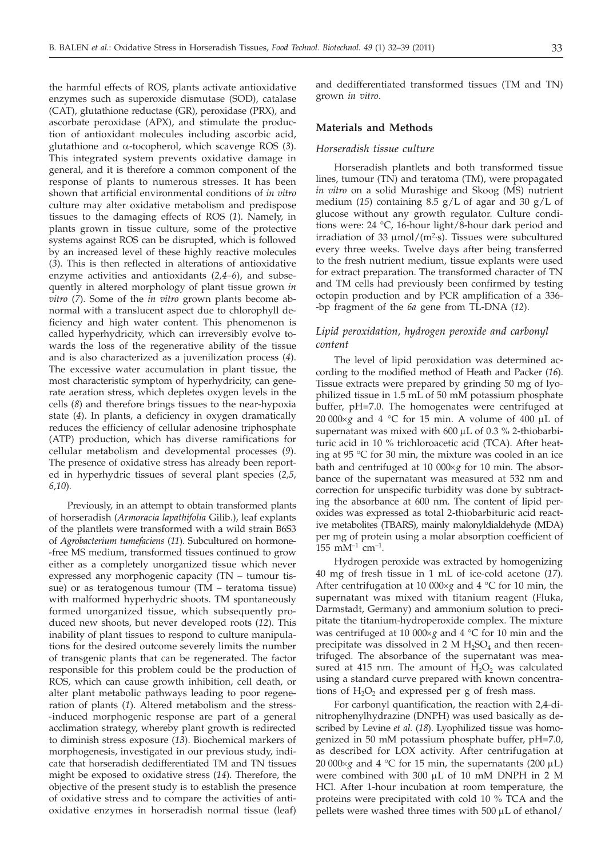the harmful effects of ROS, plants activate antioxidative enzymes such as superoxide dismutase (SOD), catalase (CAT), glutathione reductase (GR), peroxidase (PRX), and ascorbate peroxidase (APX), and stimulate the production of antioxidant molecules including ascorbic acid, glutathione and a-tocopherol, which scavenge ROS (*3*). This integrated system prevents oxidative damage in general, and it is therefore a common component of the response of plants to numerous stresses. It has been shown that artificial environmental conditions of *in vitro* culture may alter oxidative metabolism and predispose tissues to the damaging effects of ROS (*1*). Namely, in plants grown in tissue culture, some of the protective systems against ROS can be disrupted, which is followed by an increased level of these highly reactive molecules (*3*). This is then reflected in alterations of antioxidative enzyme activities and antioxidants (*2,4–6*), and subsequently in altered morphology of plant tissue grown *in vitro* (*7*). Some of the *in vitro* grown plants become abnormal with a translucent aspect due to chlorophyll deficiency and high water content. This phenomenon is called hyperhydricity, which can irreversibly evolve towards the loss of the regenerative ability of the tissue and is also characterized as a juvenilization process (*4*). The excessive water accumulation in plant tissue, the most characteristic symptom of hyperhydricity, can generate aeration stress, which depletes oxygen levels in the cells (*8*) and therefore brings tissues to the near-hypoxia state (*4*). In plants, a deficiency in oxygen dramatically reduces the efficiency of cellular adenosine triphosphate (ATP) production, which has diverse ramifications for cellular metabolism and developmental processes (*9*). The presence of oxidative stress has already been reported in hyperhydric tissues of several plant species (*2,5, 6,10*)*.*

Previously, in an attempt to obtain transformed plants of horseradish (*Armoracia lapathifolia* Gilib.), leaf explants of the plantlets were transformed with a wild strain B6S3 of *Agrobacterium tumefaciens* (*11*). Subcultured on hormone- -free MS medium, transformed tissues continued to grow either as a completely unorganized tissue which never expressed any morphogenic capacity (TN – tumour tissue) or as teratogenous tumour (TM – teratoma tissue) with malformed hyperhydric shoots. TM spontaneously formed unorganized tissue, which subsequently produced new shoots, but never developed roots (*12*). This inability of plant tissues to respond to culture manipulations for the desired outcome severely limits the number of transgenic plants that can be regenerated. The factor responsible for this problem could be the production of ROS, which can cause growth inhibition, cell death, or alter plant metabolic pathways leading to poor regeneration of plants (*1*). Altered metabolism and the stress- -induced morphogenic response are part of a general acclimation strategy, whereby plant growth is redirected to diminish stress exposure (*13*). Biochemical markers of morphogenesis, investigated in our previous study, indicate that horseradish dedifferentiated TM and TN tissues might be exposed to oxidative stress (*14*). Therefore, the objective of the present study is to establish the presence of oxidative stress and to compare the activities of antioxidative enzymes in horseradish normal tissue (leaf)

and dedifferentiated transformed tissues (TM and TN) grown *in vitro*.

## **Materials and Methods**

## *Horseradish tissue culture*

Horseradish plantlets and both transformed tissue lines, tumour (TN) and teratoma (TM), were propagated *in vitro* on a solid Murashige and Skoog (MS) nutrient medium (*15*) containing 8.5 g/L of agar and 30 g/L of glucose without any growth regulator. Culture conditions were: 24 °C, 16-hour light/8-hour dark period and irradiation of 33  $\mu$ mol/(m<sup>2</sup>·s). Tissues were subcultured every three weeks. Twelve days after being transferred to the fresh nutrient medium, tissue explants were used for extract preparation. The transformed character of TN and TM cells had previously been confirmed by testing octopin production and by PCR amplification of a 336- -bp fragment of the *6a* gene from TL-DNA (*12*).

# *Lipid peroxidation, hydrogen peroxide and carbonyl content*

The level of lipid peroxidation was determined according to the modified method of Heath and Packer (*16*). Tissue extracts were prepared by grinding 50 mg of lyophilized tissue in 1.5 mL of 50 mM potassium phosphate buffer, pH=7.0. The homogenates were centrifuged at  $20\,000\times g$  and  $4\,^\circ\text{C}$  for 15 min. A volume of  $400\,\mu\text{L}$  of supernatant was mixed with  $600 \mu L$  of 0.3 % 2-thiobarbituric acid in 10 % trichloroacetic acid (TCA). After heating at 95 °C for 30 min, the mixture was cooled in an ice bath and centrifuged at 10 000×g for 10 min. The absorbance of the supernatant was measured at 532 nm and correction for unspecific turbidity was done by subtracting the absorbance at 600 nm. The content of lipid peroxides was expressed as total 2-thiobarbituric acid reactive metabolites (TBARS), mainly malonyldialdehyde (MDA) per mg of protein using a molar absorption coefficient of  $155$  mM<sup>-1</sup> cm<sup>-1</sup>.

Hydrogen peroxide was extracted by homogenizing 40 mg of fresh tissue in 1 mL of ice-cold acetone (*17*). After centrifugation at 10 000 $\times$ *g* and 4 °C for 10 min, the supernatant was mixed with titanium reagent (Fluka, Darmstadt, Germany) and ammonium solution to precipitate the titanium-hydroperoxide complex. The mixture was centrifuged at 10 000×g and 4 °C for 10 min and the precipitate was dissolved in 2 M  $H_2SO_4$  and then recentrifuged. The absorbance of the supernatant was measured at 415 nm. The amount of  $H_2O_2$  was calculated using a standard curve prepared with known concentrations of  $H_2O_2$  and expressed per g of fresh mass.

For carbonyl quantification, the reaction with 2,4-dinitrophenylhydrazine (DNPH) was used basically as described by Levine *et al.* (*18*). Lyophilized tissue was homogenized in 50 mM potassium phosphate buffer, pH=7.0, as described for LOX activity. After centrifugation at 20 000 $\times$ *g* and 4 °C for 15 min, the supernatants (200  $\mu$ L) were combined with 300 mL of 10 mM DNPH in 2 M HCl. After 1-hour incubation at room temperature, the proteins were precipitated with cold 10 % TCA and the pellets were washed three times with  $500 \mu L$  of ethanol/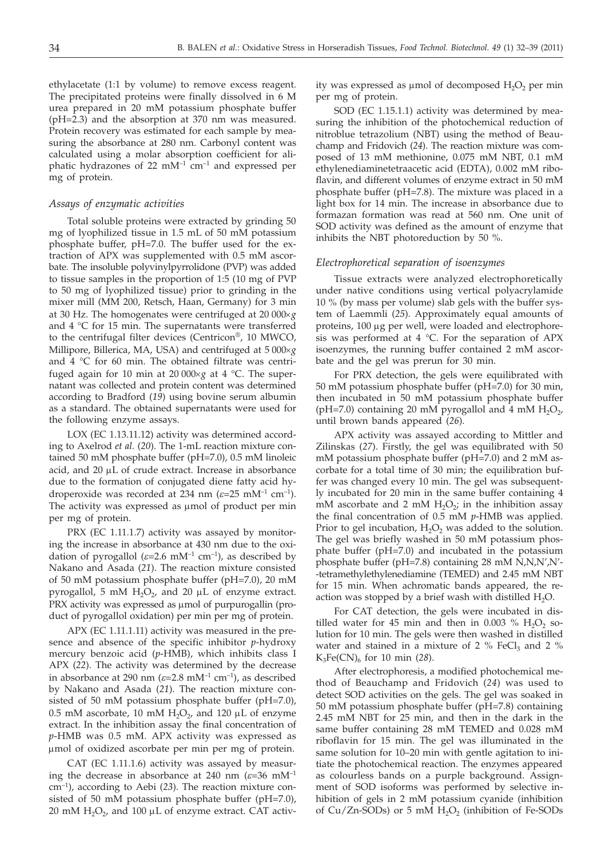ethylacetate (1:1 by volume) to remove excess reagent. The precipitated proteins were finally dissolved in 6 M urea prepared in 20 mM potassium phosphate buffer (pH=2.3) and the absorption at 370 nm was measured. Protein recovery was estimated for each sample by measuring the absorbance at 280 nm. Carbonyl content was calculated using a molar absorption coefficient for aliphatic hydrazones of 22  $mM^{-1}$  cm<sup>-1</sup> and expressed per mg of protein.

### *Assays of enzymatic activities*

Total soluble proteins were extracted by grinding 50 mg of lyophilized tissue in 1.5 mL of 50 mM potassium phosphate buffer, pH=7.0. The buffer used for the extraction of APX was supplemented with 0.5 mM ascorbate. The insoluble polyvinylpyrrolidone (PVP) was added to tissue samples in the proportion of 1:5 (10 mg of PVP to 50 mg of lyophilized tissue) prior to grinding in the mixer mill (MM 200, Retsch, Haan, Germany) for 3 min at 30 Hz. The homogenates were centrifuged at 20 000´*<sup>g</sup>* and 4 °C for 15 min. The supernatants were transferred to the centrifugal filter devices (Centricon®, 10 MWCO, Millipore, Billerica, MA, USA) and centrifuged at 5 000×g and 4 °C for 60 min. The obtained filtrate was centrifuged again for 10 min at 20 000 $\times$ *g* at 4 °C. The supernatant was collected and protein content was determined according to Bradford (*19*) using bovine serum albumin as a standard. The obtained supernatants were used for the following enzyme assays.

LOX (EC 1.13.11.12) activity was determined according to Axelrod *et al.* (*20*). The 1-mL reaction mixture contained 50 mM phosphate buffer (pH=7.0), 0.5 mM linoleic acid, and  $20 \mu L$  of crude extract. Increase in absorbance due to the formation of conjugated diene fatty acid hydroperoxide was recorded at 234 nm  $(\varepsilon=25 \text{ mM}^{-1} \text{ cm}^{-1})$ . The activity was expressed as  $\mu$ mol of product per min per mg of protein.

PRX (EC 1.11.1.7) activity was assayed by monitoring the increase in absorbance at 430 nm due to the oxidation of pyrogallol  $(\varepsilon=2.6 \text{ mM}^{-1} \text{ cm}^{-1})$ , as described by Nakano and Asada (*21*). The reaction mixture consisted of 50 mM potassium phosphate buffer (pH=7.0), 20 mM pyrogallol, 5 mM  $H_2O_2$ , and 20  $\mu$ L of enzyme extract. PRX activity was expressed as µmol of purpurogallin (product of pyrogallol oxidation) per min per mg of protein.

APX (EC 1.11.1.11) activity was measured in the presence and absence of the specific inhibitor *p*-hydroxy mercury benzoic acid (*p*-HMB), which inhibits class I APX (*22*). The activity was determined by the decrease in absorbance at 290 nm  $(\varepsilon=2.8 \text{ mM}^{-1} \text{ cm}^{-1})$ , as described by Nakano and Asada (*21*). The reaction mixture consisted of 50 mM potassium phosphate buffer (pH=7.0), 0.5 mM ascorbate, 10 mM  $H_2O_2$ , and 120  $\mu$ L of enzyme extract. In the inhibition assay the final concentration of *p*-HMB was 0.5 mM. APX activity was expressed as mmol of oxidized ascorbate per min per mg of protein.

CAT (EC 1.11.1.6) activity was assayed by measuring the decrease in absorbance at 240 nm  $(\varepsilon=36 \text{ mM}^{-1})$ cm–1), according to Aebi (*23*). The reaction mixture consisted of 50 mM potassium phosphate buffer (pH=7.0), 20 mM  $H_2O_2$ , and 100 µL of enzyme extract. CAT activity was expressed as  $\mu$ mol of decomposed  $H_2O_2$  per min per mg of protein.

SOD (EC 1.15.1.1) activity was determined by measuring the inhibition of the photochemical reduction of nitroblue tetrazolium (NBT) using the method of Beauchamp and Fridovich (*24*). The reaction mixture was composed of 13 mM methionine, 0.075 mM NBT, 0.1 mM ethylenediaminetetraacetic acid (EDTA), 0.002 mM riboflavin, and different volumes of enzyme extract in 50 mM phosphate buffer (pH=7.8). The mixture was placed in a light box for 14 min. The increase in absorbance due to formazan formation was read at 560 nm. One unit of SOD activity was defined as the amount of enzyme that inhibits the NBT photoreduction by 50 %.

#### *Electrophoretical separation of isoenzymes*

Tissue extracts were analyzed electrophoretically under native conditions using vertical polyacrylamide 10 % (by mass per volume) slab gels with the buffer system of Laemmli (*25*). Approximately equal amounts of proteins, 100 µg per well, were loaded and electrophoresis was performed at 4 °C. For the separation of APX isoenzymes, the running buffer contained 2 mM ascorbate and the gel was prerun for 30 min.

For PRX detection, the gels were equilibrated with 50 mM potassium phosphate buffer (pH=7.0) for 30 min, then incubated in 50 mM potassium phosphate buffer (pH=7.0) containing 20 mM pyrogallol and 4 mM  $H_2O_2$ , until brown bands appeared (*26*).

APX activity was assayed according to Mittler and Zilinskas (*27*). Firstly, the gel was equilibrated with 50 mM potassium phosphate buffer (pH=7.0) and 2 mM ascorbate for a total time of 30 min; the equilibration buffer was changed every 10 min. The gel was subsequently incubated for 20 min in the same buffer containing 4 mM ascorbate and 2 mM  $H_2O_2$ ; in the inhibition assay the final concentration of 0.5 mM *p*-HMB was applied. Prior to gel incubation,  $H_2O_2$  was added to the solution. The gel was briefly washed in 50 mM potassium phosphate buffer (pH=7.0) and incubated in the potassium phosphate buffer (pH=7.8) containing 28 mM N,N,N',N'- -tetramethylethylenediamine (TEMED) and 2.45 mM NBT for 15 min. When achromatic bands appeared, the reaction was stopped by a brief wash with distilled  $H_2O$ .

For CAT detection, the gels were incubated in distilled water for 45 min and then in 0.003  $%$  H<sub>2</sub>O<sub>2</sub> solution for 10 min. The gels were then washed in distilled water and stained in a mixture of  $2\%$  FeCl<sub>3</sub> and  $2\%$  $K_3Fe(CN)_6$  for 10 min (28).

After electrophoresis, a modified photochemical method of Beauchamp and Fridovich (*24*) was used to detect SOD activities on the gels. The gel was soaked in 50 mM potassium phosphate buffer (pH=7.8) containing 2.45 mM NBT for 25 min, and then in the dark in the same buffer containing 28 mM TEMED and 0.028 mM riboflavin for 15 min. The gel was illuminated in the same solution for 10–20 min with gentle agitation to initiate the photochemical reaction. The enzymes appeared as colourless bands on a purple background. Assignment of SOD isoforms was performed by selective inhibition of gels in 2 mM potassium cyanide (inhibition of Cu/Zn-SODs) or 5 mM  $H_2O_2$  (inhibition of Fe-SODs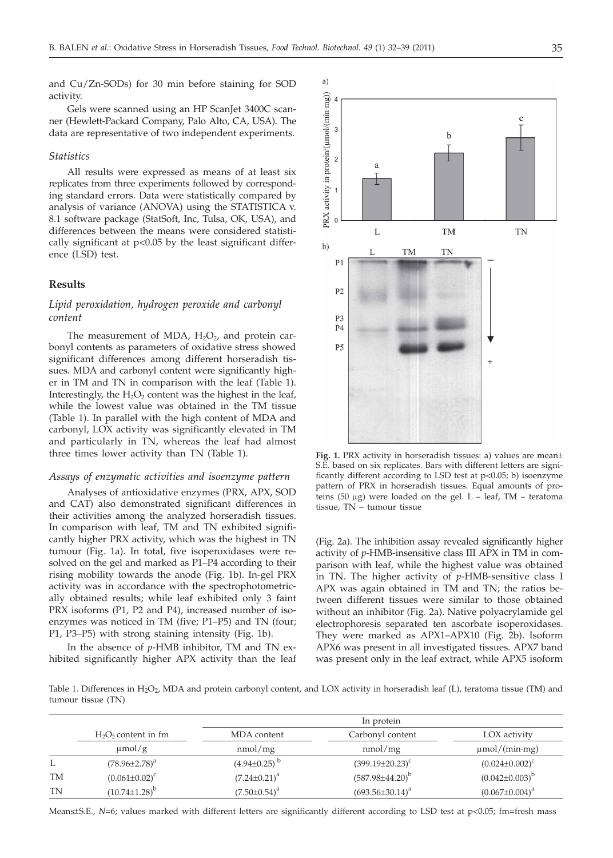and Cu/Zn-SODs) for 30 min before staining for SOD activity.

Gels were scanned using an HP ScanJet 3400C scanner (Hewlett-Packard Company, Palo Alto, CA, USA). The data are representative of two independent experiments.

## *Statistics*

All results were expressed as means of at least six replicates from three experiments followed by corresponding standard errors. Data were statistically compared by analysis of variance (ANOVA) using the STATISTICA v. 8.1 software package (StatSoft, Inc, Tulsa, OK, USA), and differences between the means were considered statistically significant at p<0.05 by the least significant difference (LSD) test.

# **Results**

# *Lipid peroxidation, hydrogen peroxide and carbonyl content*

The measurement of MDA,  $H_2O_2$ , and protein carbonyl contents as parameters of oxidative stress showed significant differences among different horseradish tissues. MDA and carbonyl content were significantly higher in TM and TN in comparison with the leaf (Table 1). Interestingly, the  $H_2O_2$  content was the highest in the leaf, while the lowest value was obtained in the TM tissue (Table 1). In parallel with the high content of MDA and carbonyl, LOX activity was significantly elevated in TM and particularly in TN, whereas the leaf had almost three times lower activity than TN (Table 1).

## *Assays of enzymatic activities and isoenzyme pattern*

Analyses of antioxidative enzymes (PRX, APX, SOD and CAT) also demonstrated significant differences in their activities among the analyzed horseradish tissues. In comparison with leaf, TM and TN exhibited significantly higher PRX activity, which was the highest in TN tumour (Fig. 1a). In total, five isoperoxidases were resolved on the gel and marked as P1–P4 according to their rising mobility towards the anode (Fig. 1b). In-gel PRX activity was in accordance with the spectrophotometrically obtained results; while leaf exhibited only 3 faint PRX isoforms (P1, P2 and P4), increased number of isoenzymes was noticed in TM (five; P1–P5) and TN (four; P1, P3–P5) with strong staining intensity (Fig. 1b).

In the absence of *p*-HMB inhibitor, TM and TN exhibited significantly higher APX activity than the leaf



**Fig. 1.** PRX activity in horseradish tissues: a) values are mean± S.E. based on six replicates. Bars with different letters are significantly different according to LSD test at p<0.05; b) isoenzyme pattern of PRX in horseradish tissues. Equal amounts of proteins (50  $\mu$ g) were loaded on the gel. L – leaf, TM – teratoma tissue, TN – tumour tissue

(Fig. 2a). The inhibition assay revealed significantly higher activity of *p*-HMB-insensitive class III APX in TM in comparison with leaf, while the highest value was obtained in TN. The higher activity of *p*-HMB-sensitive class I APX was again obtained in TM and TN; the ratios between different tissues were similar to those obtained without an inhibitor (Fig. 2a). Native polyacrylamide gel electrophoresis separated ten ascorbate isoperoxidases. They were marked as APX1–APX10 (Fig. 2b). Isoform APX6 was present in all investigated tissues. APX7 band was present only in the leaf extract, while APX5 isoform

Table 1. Differences in H<sub>2</sub>O<sub>2</sub>, MDA and protein carbonyl content, and LOX activity in horseradish leaf (L), teratoma tissue (TM) and tumour tissue (TN)

|    |                                       | In protein             |                             |                                    |
|----|---------------------------------------|------------------------|-----------------------------|------------------------------------|
|    | $H_2O_2$ content in fm<br>$\mu$ mol/g | MDA content<br>nmol/mg | Carbonyl content<br>nmol/mg | LOX activity<br>$\mu$ mol/(min·mg) |
|    |                                       |                        |                             |                                    |
|    | $(78.96 \pm 2.78)^a$                  | $(4.94\pm0.25)^{b}$    | $(399.19 \pm 20.23)^c$      | $(0.024 \pm 0.002)^c$              |
| TM | $(0.061 \pm 0.02)^c$                  | $(7.24 \pm 0.21)^a$    | $(587.98 \pm 44.20)^b$      | $(0.042 \pm 0.003)^{b}$            |
| TN | $(10.74 \pm 1.28)^{b}$                | $(7.50 \pm 0.54)^a$    | $(693.56 \pm 30.14)^a$      | $(0.067 \pm 0.004)^a$              |

Means±S.E., N=6; values marked with different letters are significantly different according to LSD test at p<0.05; fm=fresh mass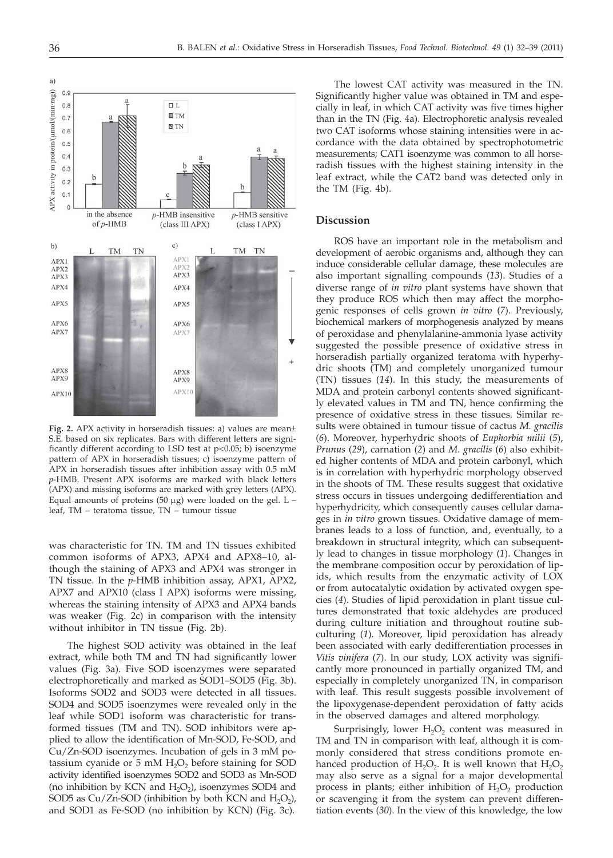

**Fig. 2.** APX activity in horseradish tissues: a) values are mean± S.E. based on six replicates. Bars with different letters are significantly different according to LSD test at p<0.05; b) isoenzyme pattern of APX in horseradish tissues; c) isoenzyme pattern of APX in horseradish tissues after inhibition assay with 0.5 mM *p*-HMB. Present APX isoforms are marked with black letters (APX) and missing isoforms are marked with grey letters (APX). Equal amounts of proteins (50  $\mu$ g) were loaded on the gel. L leaf, TM – teratoma tissue, TN – tumour tissue

was characteristic for TN. TM and TN tissues exhibited common isoforms of APX3, APX4 and APX8–10, although the staining of APX3 and APX4 was stronger in TN tissue. In the *p*-HMB inhibition assay, APX1, APX2, APX7 and APX10 (class I APX) isoforms were missing, whereas the staining intensity of APX3 and APX4 bands was weaker (Fig. 2c) in comparison with the intensity without inhibitor in TN tissue (Fig. 2b).

The highest SOD activity was obtained in the leaf extract, while both TM and TN had significantly lower values (Fig. 3a). Five SOD isoenzymes were separated electrophoretically and marked as SOD1–SOD5 (Fig. 3b). Isoforms SOD2 and SOD3 were detected in all tissues. SOD4 and SOD5 isoenzymes were revealed only in the leaf while SOD1 isoform was characteristic for transformed tissues (TM and TN). SOD inhibitors were applied to allow the identification of Mn-SOD, Fe-SOD, and Cu/Zn-SOD isoenzymes. Incubation of gels in 3 mM potassium cyanide or  $5 \text{ mM } H_2O_2$  before staining for SOD activity identified isoenzymes SOD2 and SOD3 as Mn-SOD (no inhibition by KCN and  $H_2O_2$ ), isoenzymes SOD4 and SOD5 as Cu/Zn-SOD (inhibition by both KCN and  $H_2O_2$ ), and SOD1 as Fe-SOD (no inhibition by KCN) (Fig. 3c).

The lowest CAT activity was measured in the TN. Significantly higher value was obtained in TM and especially in leaf, in which CAT activity was five times higher than in the TN (Fig. 4a). Electrophoretic analysis revealed two CAT isoforms whose staining intensities were in accordance with the data obtained by spectrophotometric measurements; CAT1 isoenzyme was common to all horseradish tissues with the highest staining intensity in the leaf extract, while the CAT2 band was detected only in the TM (Fig. 4b).

## **Discussion**

ROS have an important role in the metabolism and development of aerobic organisms and, although they can induce considerable cellular damage, these molecules are also important signalling compounds (*13*). Studies of a diverse range of *in vitro* plant systems have shown that they produce ROS which then may affect the morphogenic responses of cells grown *in vitro* (*7*). Previously, biochemical markers of morphogenesis analyzed by means of peroxidase and phenylalanine-ammonia lyase activity suggested the possible presence of oxidative stress in horseradish partially organized teratoma with hyperhydric shoots (TM) and completely unorganized tumour (TN) tissues (*14*). In this study, the measurements of MDA and protein carbonyl contents showed significantly elevated values in TM and TN, hence confirming the presence of oxidative stress in these tissues. Similar results were obtained in tumour tissue of cactus *M. gracilis* (*6*). Moreover, hyperhydric shoots of *Euphorbia milii* (*5*), *Prunus* (*29*), carnation (*2*) and *M. gracilis* (*6*) also exhibited higher contents of MDA and protein carbonyl, which is in correlation with hyperhydric morphology observed in the shoots of TM. These results suggest that oxidative stress occurs in tissues undergoing dedifferentiation and hyperhydricity, which consequently causes cellular damages in *in vitro* grown tissues. Oxidative damage of membranes leads to a loss of function, and, eventually, to a breakdown in structural integrity, which can subsequently lead to changes in tissue morphology (*1*). Changes in the membrane composition occur by peroxidation of lipids, which results from the enzymatic activity of LOX or from autocatalytic oxidation by activated oxygen species (*4*). Studies of lipid peroxidation in plant tissue cultures demonstrated that toxic aldehydes are produced during culture initiation and throughout routine subculturing (*1*). Moreover, lipid peroxidation has already been associated with early dedifferentiation processes in *Vitis vinifera* (*7*). In our study, LOX activity was significantly more pronounced in partially organized TM, and especially in completely unorganized TN, in comparison with leaf. This result suggests possible involvement of the lipoxygenase-dependent peroxidation of fatty acids in the observed damages and altered morphology.

Surprisingly, lower  $H_2O_2$  content was measured in TM and TN in comparison with leaf, although it is commonly considered that stress conditions promote enhanced production of  $H_2O_2$ . It is well known that  $H_2O_2$ may also serve as a signal for a major developmental process in plants; either inhibition of  $H_2O_2$  production or scavenging it from the system can prevent differentiation events (*30*). In the view of this knowledge, the low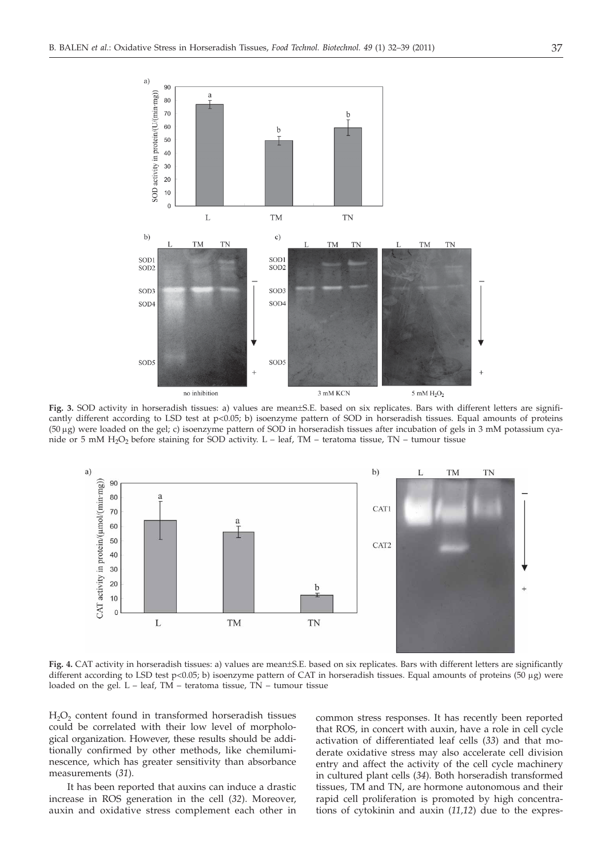

**Fig. 3.** SOD activity in horseradish tissues: a) values are mean±S.E. based on six replicates. Bars with different letters are significantly different according to LSD test at p<0.05; b) isoenzyme pattern of SOD in horseradish tissues. Equal amounts of proteins (50 mg) were loaded on the gel; c) isoenzyme pattern of SOD in horseradish tissues after incubation of gels in 3 mM potassium cyanide or 5 mM  $H_2O_2$  before staining for SOD activity. L – leaf, TM – teratoma tissue, TN – tumour tissue



**Fig. 4.** CAT activity in horseradish tissues: a) values are mean±S.E. based on six replicates. Bars with different letters are significantly different according to LSD test  $p<0.05$ ; b) isoenzyme pattern of CAT in horseradish tissues. Equal amounts of proteins (50 µg) were loaded on the gel.  $L - \text{leaf}$ , TM – teratoma tissue, TN – tumour tissue

 $H<sub>2</sub>O<sub>2</sub>$  content found in transformed horseradish tissues could be correlated with their low level of morphological organization. However, these results should be additionally confirmed by other methods, like chemiluminescence, which has greater sensitivity than absorbance measurements (*31*).

It has been reported that auxins can induce a drastic increase in ROS generation in the cell (*32*). Moreover, auxin and oxidative stress complement each other in common stress responses. It has recently been reported that ROS, in concert with auxin, have a role in cell cycle activation of differentiated leaf cells (*33*) and that moderate oxidative stress may also accelerate cell division entry and affect the activity of the cell cycle machinery in cultured plant cells (*34*). Both horseradish transformed tissues, TM and TN, are hormone autonomous and their rapid cell proliferation is promoted by high concentrations of cytokinin and auxin (*11,12*) due to the expres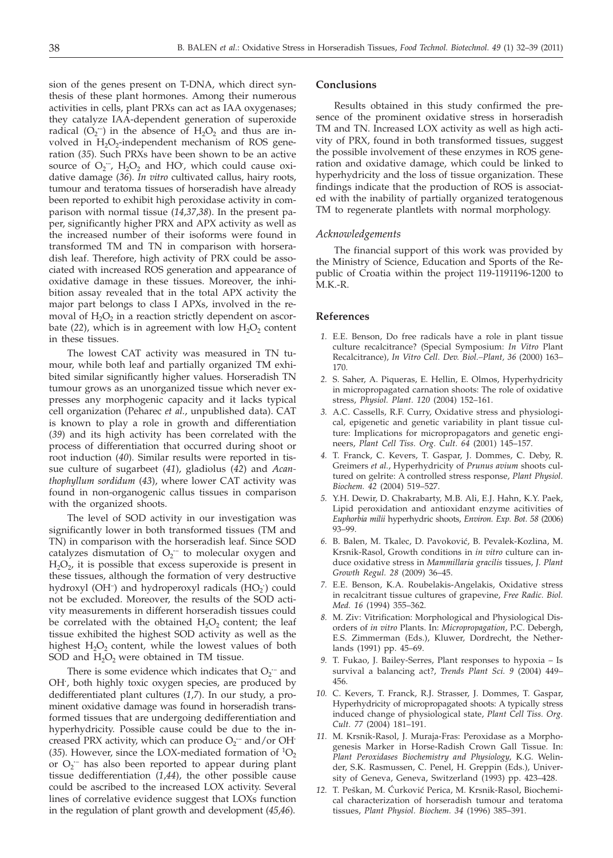sion of the genes present on T-DNA, which direct synthesis of these plant hormones. Among their numerous activities in cells, plant PRXs can act as IAA oxygenases; they catalyze IAA-dependent generation of superoxide radical  $(O_2^-)$  in the absence of  $H_2O_2$  and thus are involved in  $H_2O_2$ -independent mechanism of ROS generation (*35*). Such PRXs have been shown to be an active source of  $O_2^-$ ,  $H_2O_2$  and HO<sup> $\prime$ </sup>, which could cause oxidative damage (*36*). *In vitro* cultivated callus, hairy roots, tumour and teratoma tissues of horseradish have already been reported to exhibit high peroxidase activity in comparison with normal tissue (*14,37*,*38*). In the present paper, significantly higher PRX and APX activity as well as the increased number of their isoforms were found in transformed TM and TN in comparison with horseradish leaf. Therefore, high activity of PRX could be associated with increased ROS generation and appearance of oxidative damage in these tissues. Moreover, the inhibition assay revealed that in the total APX activity the major part belongs to class I APXs, involved in the removal of  $H_2O_2$  in a reaction strictly dependent on ascorbate (22), which is in agreement with low  $H_2O_2$  content in these tissues.

The lowest CAT activity was measured in TN tumour, while both leaf and partially organized TM exhibited similar significantly higher values. Horseradish TN tumour grows as an unorganized tissue which never expresses any morphogenic capacity and it lacks typical cell organization (Peharec *et al.*, unpublished data). CAT is known to play a role in growth and differentiation (*39*) and its high activity has been correlated with the process of differentiation that occurred during shoot or root induction (*40*). Similar results were reported in tissue culture of sugarbeet (*41*), gladiolus (*42*) and *Acanthophyllum sordidum* (*43*), where lower CAT activity was found in non-organogenic callus tissues in comparison with the organized shoots.

The level of SOD activity in our investigation was significantly lower in both transformed tissues (TM and TN) in comparison with the horseradish leaf. Since SOD catalyzes dismutation of O<sub>2</sub><sup>-</sup> to molecular oxygen and  $H_2O_2$ , it is possible that excess superoxide is present in these tissues, although the formation of very destructive hydroxyl (OH<sup>-</sup>) and hydroperoxyl radicals (HO<sub>2</sub>) could not be excluded. Moreover, the results of the SOD activity measurements in different horseradish tissues could be correlated with the obtained  $H_2O_2$  content; the leaf tissue exhibited the highest SOD activity as well as the highest  $H_2O_2$  content, while the lowest values of both SOD and  $H_2O_2$  were obtained in TM tissue.

There is some evidence which indicates that  $O_2$ <sup> $-$ </sup> and OH**·** , both highly toxic oxygen species, are produced by dedifferentiated plant cultures (*1*,*7*). In our study, a prominent oxidative damage was found in horseradish transformed tissues that are undergoing dedifferentiation and hyperhydricity. Possible cause could be due to the increased PRX activity, which can produce  $O_2$ <sup>-</sup> and/or OH<sup>*·*</sup> (35). However, since the LOX-mediated formation of  ${}^{1}O_{2}$ or O<sub>2</sub><sup>-</sup> has also been reported to appear during plant tissue dedifferentiation (*1*,*44*), the other possible cause could be ascribed to the increased LOX activity. Several lines of correlative evidence suggest that LOXs function in the regulation of plant growth and development (*45*,*46*).

#### **Conclusions**

Results obtained in this study confirmed the presence of the prominent oxidative stress in horseradish TM and TN. Increased LOX activity as well as high activity of PRX, found in both transformed tissues, suggest the possible involvement of these enzymes in ROS generation and oxidative damage, which could be linked to hyperhydricity and the loss of tissue organization. These findings indicate that the production of ROS is associated with the inability of partially organized teratogenous TM to regenerate plantlets with normal morphology.

#### *Acknowledgements*

The financial support of this work was provided by the Ministry of Science, Education and Sports of the Republic of Croatia within the project 119-1191196-1200 to M.K.-R.

#### **References**

- *1.* E.E. Benson, Do free radicals have a role in plant tissue culture recalcitrance? (Special Symposium: *In Vitro* Plant Recalcitrance), *In Vitro Cell. Dev. Biol.–Plant, 36* (2000) 163– 170.
- *2.* S. Saher, A. Piqueras, E. Hellin, E. Olmos, Hyperhydricity in micropropagated carnation shoots: The role of oxidative stress, *Physiol. Plant. 120* (2004) 152–161.
- *3.* A.C. Cassells, R.F. Curry, Oxidative stress and physiological, epigenetic and genetic variability in plant tissue culture: Implications for micropropagators and genetic engineers, *Plant Cell Tiss. Org. Cult. 64* (2001) 145–157.
- *4.* T. Franck, C. Kevers, T. Gaspar, J. Dommes, C. Deby, R. Greimers *et al.*, Hyperhydricity of *Prunus avium* shoots cultured on gelrite: A controlled stress response, *Plant Physiol. Biochem. 42* (2004) 519–527.
- *5.* Y.H. Dewir, D. Chakrabarty, M.B. Ali, E.J. Hahn, K.Y. Paek, Lipid peroxidation and antioxidant enzyme acitivities of *Euphorbia milii* hyperhydric shoots, *Environ. Exp. Bot. 58* (2006) 93–99.
- 6. B. Balen, M. Tkalec, D. Pavoković, B. Pevalek-Kozlina, M. Krsnik-Rasol, Growth conditions in *in vitro* culture can induce oxidative stress in *Mammillaria gracilis* tissues, *J. Plant Growth Regul. 28* (2009) 36–45.
- *7.* E.E. Benson, K.A. Roubelakis-Angelakis, Oxidative stress in recalcitrant tissue cultures of grapevine, *Free Radic. Biol. Med. 16* (1994) 355–362.
- *8.* M. Ziv: Vitrification: Morphological and Physiological Disorders of *in vitro* Plants. In: *Micropropagation*, P.C. Debergh, E.S. Zimmerman (Eds.), Kluwer, Dordrecht, the Netherlands (1991) pp. 45–69.
- *9.* T. Fukao, J. Bailey-Serres, Plant responses to hypoxia Is survival a balancing act?, *Trends Plant Sci. 9* (2004) 449– 456.
- *10.* C. Kevers, T. Franck, R.J. Strasser, J. Dommes, T. Gaspar, Hyperhydricity of micropropagated shoots: A typically stress induced change of physiological state, *Plant Cell Tiss. Org. Cult. 77* (2004) 181–191.
- *11.* M. Krsnik-Rasol, J. Muraja-Fras: Peroxidase as a Morphogenesis Marker in Horse-Radish Crown Gall Tissue. In: *Plant Peroxidases Biochemistry and Physiology*, K.G. Welinder, S.K. Rasmussen, C. Penel, H. Greppin (Eds.), University of Geneva, Geneva, Switzerland (1993) pp. 423–428.
- 12. T. Peškan, M. Ćurković Perica, M. Krsnik-Rasol, Biochemical characterization of horseradish tumour and teratoma tissues, *Plant Physiol. Biochem. 34* (1996) 385–391.